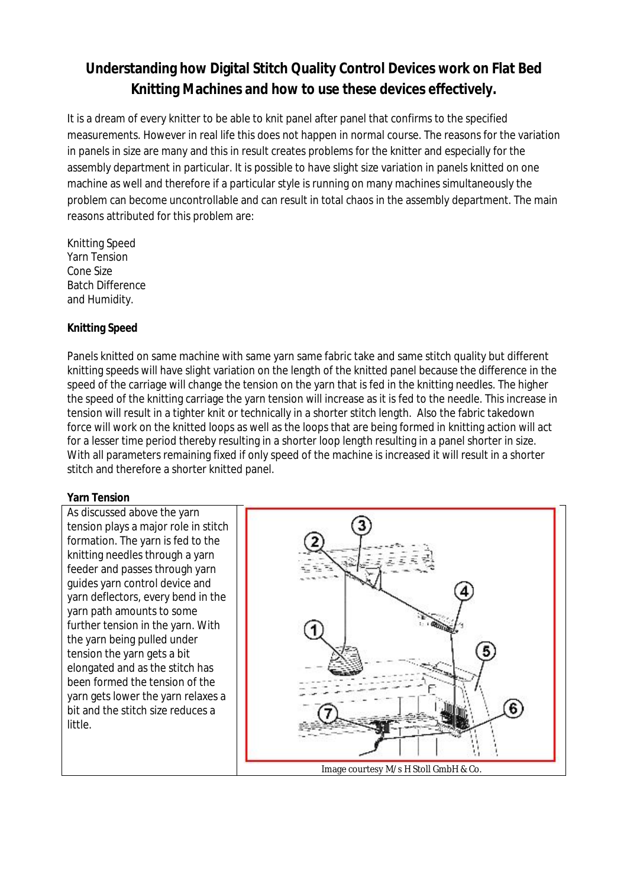# **Understanding how Digital Stitch Quality Control Devices work on Flat Bed Knitting Machines and how to use these devices effectively.**

It is a dream of every knitter to be able to knit panel after panel that confirms to the specified measurements. However in real life this does not happen in normal course. The reasons for the variation in panels in size are many and this in result creates problems for the knitter and especially for the assembly department in particular. It is possible to have slight size variation in panels knitted on one machine as well and therefore if a particular style is running on many machines simultaneously the problem can become uncontrollable and can result in total chaos in the assembly department. The main reasons attributed for this problem are:

Knitting Speed Yarn Tension Cone Size Batch Difference and Humidity.

## **Knitting Speed**

Panels knitted on same machine with same yarn same fabric take and same stitch quality but different knitting speeds will have slight variation on the length of the knitted panel because the difference in the speed of the carriage will change the tension on the yarn that is fed in the knitting needles. The higher the speed of the knitting carriage the yarn tension will increase as it is fed to the needle. This increase in tension will result in a tighter knit or technically in a shorter stitch length. Also the fabric takedown force will work on the knitted loops as well as the loops that are being formed in knitting action will act for a lesser time period thereby resulting in a shorter loop length resulting in a panel shorter in size. With all parameters remaining fixed if only speed of the machine is increased it will result in a shorter stitch and therefore a shorter knitted panel.

## **Yarn Tension**

As discussed above the yarn tension plays a major role in stitch formation. The yarn is fed to the knitting needles through a yarn feeder and passes through yarn guides yarn control device and yarn deflectors, every bend in the yarn path amounts to some further tension in the yarn. With the yarn being pulled under tension the yarn gets a bit elongated and as the stitch has been formed the tension of the yarn gets lower the yarn relaxes a bit and the stitch size reduces a little.

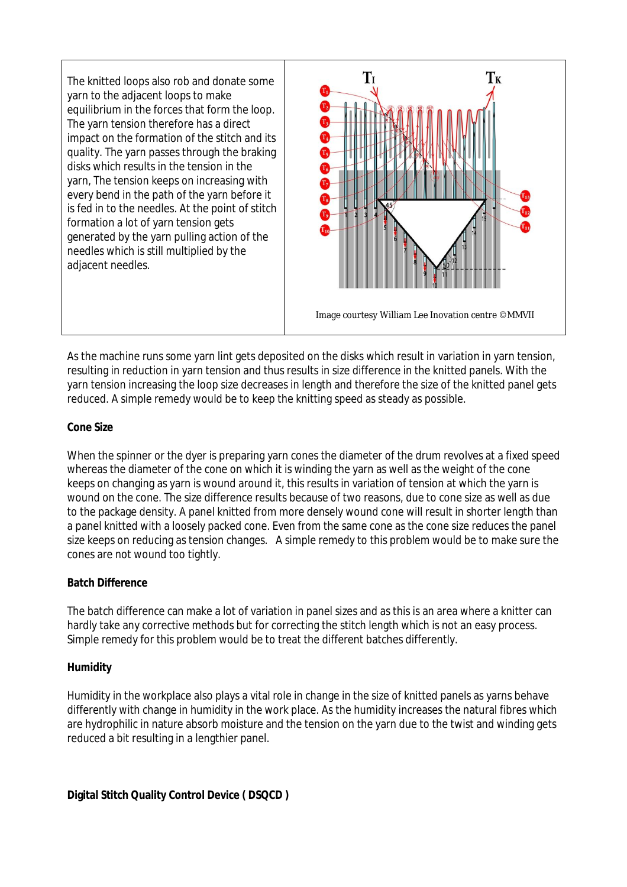The knitted loops also rob and donate some yarn to the adjacent loops to make equilibrium in the forces that form the loop. The yarn tension therefore has a direct impact on the formation of the stitch and its quality. The yarn passes through the braking disks which results in the tension in the yarn, The tension keeps on increasing with every bend in the path of the yarn before it is fed in to the needles. At the point of stitch formation a lot of yarn tension gets generated by the yarn pulling action of the needles which is still multiplied by the adjacent needles.



As the machine runs some yarn lint gets deposited on the disks which result in variation in yarn tension, resulting in reduction in yarn tension and thus results in size difference in the knitted panels. With the yarn tension increasing the loop size decreases in length and therefore the size of the knitted panel gets reduced. A simple remedy would be to keep the knitting speed as steady as possible.

#### **Cone Size**

When the spinner or the dyer is preparing yarn cones the diameter of the drum revolves at a fixed speed whereas the diameter of the cone on which it is winding the yarn as well as the weight of the cone keeps on changing as yarn is wound around it, this results in variation of tension at which the yarn is wound on the cone. The size difference results because of two reasons, due to cone size as well as due to the package density. A panel knitted from more densely wound cone will result in shorter length than a panel knitted with a loosely packed cone. Even from the same cone as the cone size reduces the panel size keeps on reducing as tension changes. A simple remedy to this problem would be to make sure the cones are not wound too tightly.

## **Batch Difference**

The batch difference can make a lot of variation in panel sizes and as this is an area where a knitter can hardly take any corrective methods but for correcting the stitch length which is not an easy process. Simple remedy for this problem would be to treat the different batches differently.

## **Humidity**

Humidity in the workplace also plays a vital role in change in the size of knitted panels as yarns behave differently with change in humidity in the work place. As the humidity increases the natural fibres which are hydrophilic in nature absorb moisture and the tension on the yarn due to the twist and winding gets reduced a bit resulting in a lengthier panel.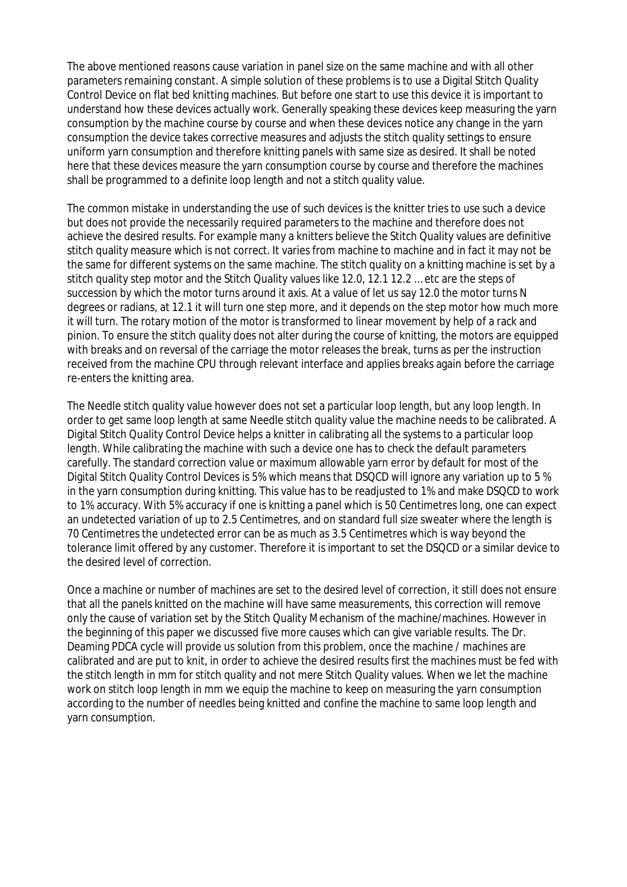The above mentioned reasons cause variation in panel size on the same machine and with all other parameters remaining constant. A simple solution of these problems is to use a Digital Stitch Quality Control Device on flat bed knitting machines. But before one start to use this device it is important to understand how these devices actually work. Generally speaking these devices keep measuring the yarn consumption by the machine course by course and when these devices notice any change in the yarn consumption the device takes corrective measures and adjusts the stitch quality settings to ensure uniform yarn consumption and therefore knitting panels with same size as desired. It shall be noted here that these devices measure the yarn consumption course by course and therefore the machines shall be programmed to a definite loop length and not a stitch quality value.

The common mistake in understanding the use of such devices is the knitter tries to use such a device but does not provide the necessarily required parameters to the machine and therefore does not achieve the desired results. For example many a knitters believe the Stitch Quality values are definitive stitch quality measure which is not correct. It varies from machine to machine and in fact it may not be the same for different systems on the same machine. The stitch quality on a knitting machine is set by a stitch quality step motor and the Stitch Quality values like 12.0, 12.1 12.2 … etc are the steps of succession by which the motor turns around it axis. At a value of let us say 12.0 the motor turns N degrees or radians, at 12.1 it will turn one step more, and it depends on the step motor how much more it will turn. The rotary motion of the motor is transformed to linear movement by help of a rack and pinion. To ensure the stitch quality does not alter during the course of knitting, the motors are equipped with breaks and on reversal of the carriage the motor releases the break, turns as per the instruction received from the machine CPU through relevant interface and applies breaks again before the carriage re-enters the knitting area.

The Needle stitch quality value however does not set a particular loop length, but any loop length. In order to get same loop length at same Needle stitch quality value the machine needs to be calibrated. A Digital Stitch Quality Control Device helps a knitter in calibrating all the systems to a particular loop length. While calibrating the machine with such a device one has to check the default parameters carefully. The standard correction value or maximum allowable yarn error by default for most of the Digital Stitch Quality Control Devices is 5% which means that DSQCD will ignore any variation up to 5 % in the yarn consumption during knitting. This value has to be readjusted to 1% and make DSQCD to work to 1% accuracy. With 5% accuracy if one is knitting a panel which is 50 Centimetres long, one can expect an undetected variation of up to 2.5 Centimetres, and on standard full size sweater where the length is 70 Centimetres the undetected error can be as much as 3.5 Centimetres which is way beyond the tolerance limit offered by any customer. Therefore it is important to set the DSQCD or a similar device to the desired level of correction.

Once a machine or number of machines are set to the desired level of correction, it still does not ensure that all the panels knitted on the machine will have same measurements, this correction will remove only the cause of variation set by the Stitch Quality Mechanism of the machine/machines. However in the beginning of this paper we discussed five more causes which can give variable results. The Dr. Deaming PDCA cycle will provide us solution from this problem, once the machine / machines are calibrated and are put to knit, in order to achieve the desired results first the machines must be fed with the stitch length in mm for stitch quality and not mere Stitch Quality values. When we let the machine work on stitch loop length in mm we equip the machine to keep on measuring the yarn consumption according to the number of needles being knitted and confine the machine to same loop length and yarn consumption.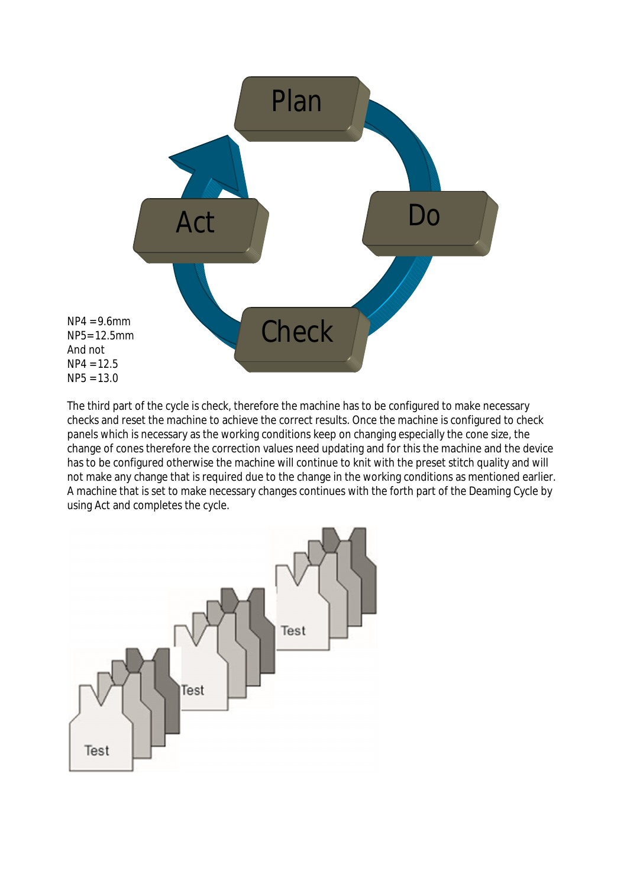

The third part of the cycle is check, therefore the machine has to be configured to make necessary checks and reset the machine to achieve the correct results. Once the machine is configured to check panels which is necessary as the working conditions keep on changing especially the cone size, the change of cones therefore the correction values need updating and for this the machine and the device has to be configured otherwise the machine will continue to knit with the preset stitch quality and will not make any change that is required due to the change in the working conditions as mentioned earlier. A machine that is set to make necessary changes continues with the forth part of the Deaming Cycle by using Act and completes the cycle.